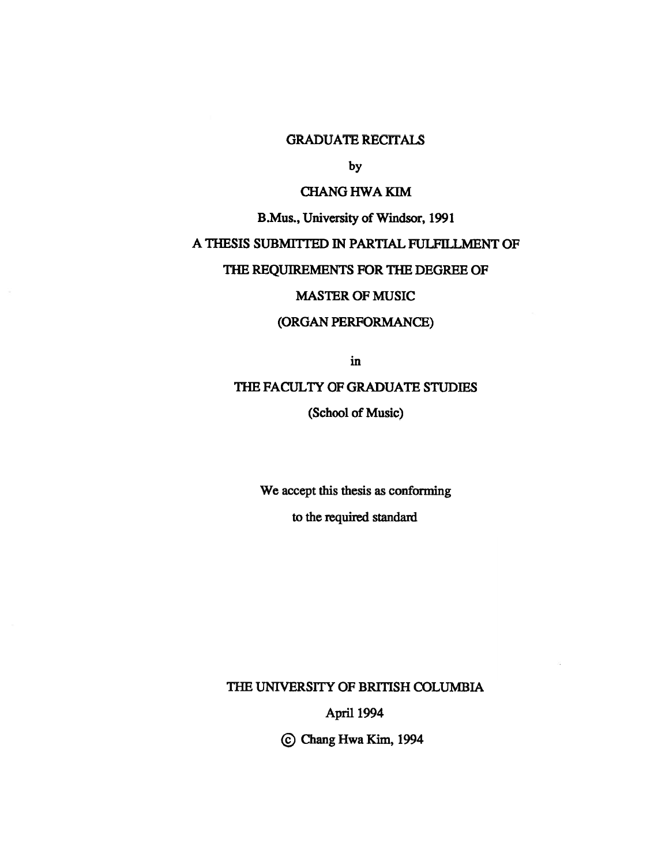## GRADUATE RECITALS

by

### CHANG HWA KIM

B.Mus., University of Windsor, 1991

# A THESIS SUBMHTED IN PARTIAL FULFILLMENT OF

#### THE REQUIREMENTS FOR THE DEGREE OF

# MASTER OF MUSIC

# (ORGAN PERFORMANCE)

in

# THE FACULTY OF GRADUATE STUDIES

(School of Music)

We accep<sup>t</sup> this thesis as conforming

to the required standard

THE UNIVERSITY OF BRITISH COLUMBIA

April 1994

© Chang Hwa Kim, <sup>1994</sup>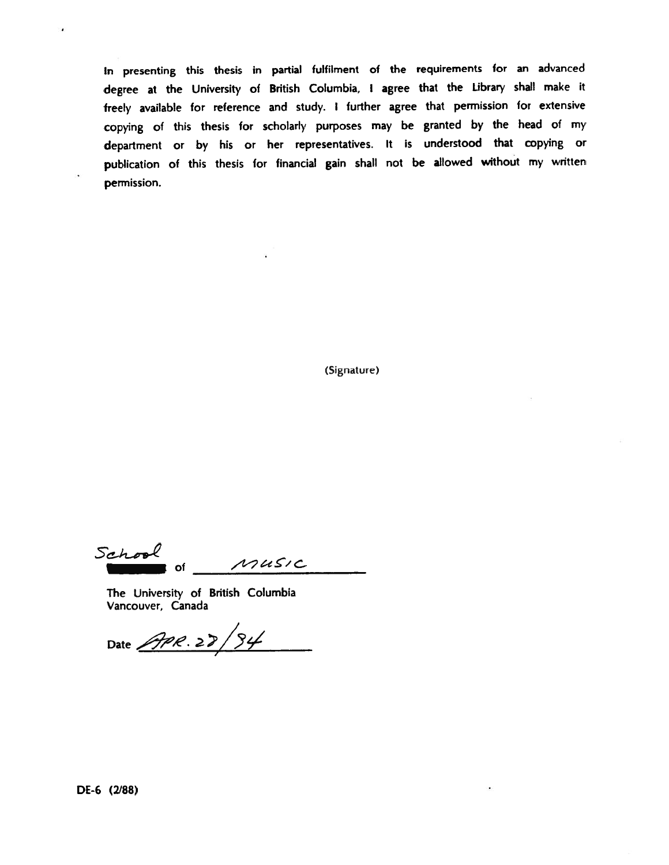In presenting this thesis in partial fulfilment of the requirements for an advanced degree at the University of British Columbia, <sup>I</sup> agree that the Library shall make it freely available for reference and study. <sup>I</sup> further agree that permission for extensive copying of this thesis for scholarly purposes may be granted by the head of my department or by his or her representatives. It is understood that copying or publication of this thesis for financial gain shall not be allowed without my written permission.

(Signature)

School MUSIC of

The University of British Columbia Vancouver, Canada

Date  $\frac{\sqrt{98.22}}{94}$ 

٠